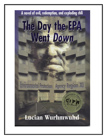# A novel of evil, redemption, and exploding chili The Day the EPA<br>Went Down

Environmental Protection Agency Region XI

## Lucian Wurhmwuhd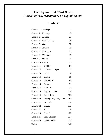## *The Day the EPA Went Down: A novel of evil, redemption, an exploding chili*

## **Contents**

| Chapter 1  | Challenge               | 1   |
|------------|-------------------------|-----|
| Chapter 2  | Revenge                 | 15  |
| Chapter 3  | Asinine                 | 21  |
| Chapter 4  | <b>Bad Tree Day</b>     | 28  |
| Chapter 5  | Gas                     | 32  |
| Chapter 6  | Jammed                  | 39  |
| Chapter 7  | Acronyms                | 42  |
| Chapter 8  | VP Memo                 | 49  |
| Chapter 9  | Orders                  | 55  |
| Chapter 10 | Reamed                  | 62  |
| Chapter 11 | <b>GETEM</b>            | 64  |
| Chapter 12 | X Marks the Spot        | 72  |
| Chapter 13 | <b>OWL</b>              | 74  |
| Chapter 14 | <b>Blanks</b>           | 80  |
| Chapter 15 | <b>DRINKUP</b>          | 83  |
| Chapter 16 | Reverse                 | 91  |
| Chapter 17 | <b>Baer Fur</b>         | 93  |
| Chapter 18 | <b>Explosive Issue</b>  | 100 |
| Chapter 19 | <b>Booby Hatch</b>      | 103 |
| Chapter 20 | Testing One, Two, Three | 108 |
| Chapter 21 | Minerals                | 110 |
| Chapter 22 | Rigged                  | 113 |
| Chapter 23 | Whale                   | 115 |
| Chapter 24 | Crusade                 | 122 |
| Chapter 25 | <b>Final Solution</b>   | 124 |
| Chapter 26 | <b>TDTEPAWD</b>         | 135 |
| Epilogue   |                         | 140 |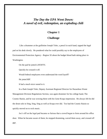## *The Day the EPA Went Down: A novel of evil, redemption, an exploding chili*

### **Chapter 1**

#### **Challenge**

Like a drummer at the guillotine Joseph Toler, a pencil in each hand, tapped the legal pad on his desk slowly. He pondered what he could possibly say to the employees of Environmental Protection Agency - Region XI about the budget blood bath taking place in Washington.

On the pad he jotted *LAYOFFS.*

Quickly he crossed it off.

Would federal employees even understand the word layoff?

He jotted *RIF*.

It had a much nicer sound to it.

In a flash Joseph Toler, Deputy Assistant Regional Director for Hazardous Waste Management Division Regulations Section, was again drummer for his college band, The Cosmic Raisin, and he was wowing them with his Gene Krupa impression. He always felt he did the drum solo in Sing, Sing, Sing as well as Krupa ever did. Too bad the Cosmic Raisin so quickly moved on to rock music.

Joe's riff on the legal pad became so furious that a crowd began to form around his office door. When he became aware of them, he stopped drumming, waved them away, and crossed off *RIF.*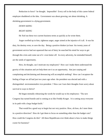Reduction in force? he thought. Impossible! Every cell in the body of this career federal employee shuddered at the idea. Government was about growing, not about shrinking. A shrinking government is a dying government.

#### *DOWN SIZING*

#### *RIGHT SIZING*

He Xed out these two current business terms as quickly as he wrote them.

Anger swelled up in him, righteous anger, anger aimed at the injustice of it all. It was his duty, his destiny even, to save the day. Being a positive thinker (at least his twenty years of government service had not squeezed that out of him), he searched his mind for ways to get through this crisis and come out of it even better off. In every adversity, he reminded himself, are the seeds of opportunity.

How, he thought, can I motivate my employees? How can I make them understand the gravity of this situation and yet help them see it as an opportunity, that just carping and complaining and declaiming and denouncing will accomplish nothing? How can I recapture the feeling of hope we all had just two years ago when the president was elected and with a distinguished environmentalist vice-president .? How can I turn their thoughts from worry about survival to ways to thrive?

He began mentally rehearsing the words he would say to his employees: 'The new Congress has turned hostile and is coming at us like Freddy Kruger. It is cutting away everyone in its path with a large budget knife.'

That would be a good way to begin but not very positive. How, oh how, do I steer them in a positive direction? How do I get them to focus on something other than the budget cuts? How could the Congress do this? All these Republicans ever think about is how to make things cozier for business?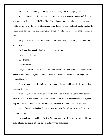He realized his thinking was taking a decidedly negative, self-pitying turn.

To snap himself out of it, he once again became Gene Krupa at Carnegie Hall slowing banging out the first beats of his Sing, Sing, Sing solo until once again he was banging on the pad for all he was worth. He felt the energy surge though his body and soul. As he reached the climax of his solo he could hear Harry James's trumpet pulling the rest of the band back into the piece.

He got so excited he had to call on one of his other loves, meditation, to calm himself back down.

He dropped the pencils that had become drum sticks.

He breathed deeply.

Slowly inhale.

Slowly exhale.

One, two, three times he allowed the atmosphere to breathe for him. No longer was his body the actor in this life giving drama. It was the air itself that moved into his lungs and caressed his soul.

Soon his martial arts discipline took over, and he began thinking deflective rather than attacking thoughts.

"Business, of course, we've got to model ourselves on business, use business points of view, use business terminology, make the Congress think of us as just another business, then they will give us our due. Deflect the blow they've aimed at us and make it work for us."

With a flourish he doodled the word BUSINESS on the pad and tossed both pencils across the room.

He visualized the final S in BUSINESS knocking down Congress with a fluid karate kick. He saw the opponent drop before he knew what had hit him.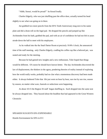"Ahhh, Sensei, would be proud!" he hissed loudly.

Charles Edgerly, who was just shuffling past the office door, actually turned his head slightly to see what was going on in there.

Joe grabbed two more pencils from the EPA Tenth Anniversary mug next to his name plate and did a drum roll on the legal pad. He dropped the pencils and jumped up like Archimedes from his bath, grabbed the pad, and with an air of confidence he had not felt in years strode down the hall to meet with his employees.

As he walked into the the Snail Darter Room at precisely 10:00 o'clock, the announced time of the staff meeting, only Charles Edgerly, cradling his coffee cup like a beloved pet, was seated and ready for the meeting.

Because he had gained new insights and a new enthusiasm, Toler hoped that things would be different. Of course he should have known better. The day Archimedes discovered the law of displacement, the thinkers in the agora, pondering theories of reality instead of exploring how the world really works, probably had no clue what a momentous discovery had been made either. It always bothered Toler that life just went on hour by hour, sun rise by sun rise, season by season, no matter what wars, funerals or seductions were happening.

At about 10:15 the Region XI staff began shuffling in. Each dropped into the same seat he always dropped into. They buzzed about the headline that had appeared in the Great Western Chronicle:

#### SPEAKER SUGGESTS EPA EXPENDABLE

Hostile Environment for EPA in D C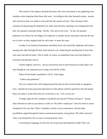The custom of the Agency dictated that those who were not present at any gathering were somehow more important than those who were. According to this time honored custom, anyone who arrived on time was made to wait until the late-comers arrived. Thus, because of the constant striving among the employees for status and seniority, meetings were starting later and later, the operative principle being, "He/she who arrives last wins." In fact, the greatest politeness ever shown by one Region XI employee to another always took place between the last two to arrive as they stepped aside for each other to enter the room.

Usually it was Katrina Fussbrachen and Mark Furer who stood like Alphonse and Gaston waving each other through the door until whoever was conducting the meeting had to insist that each enter and take his place. This in itself, of course, accomplished what each had hoped for everyone noticing their arrival.

Charles Edgerly, however, always arrived first and on time because he really didn't care who thought he was important just as long as he had his coffee.

When all had finally assembled at 10:35, Toler began.

"Ladies and gentlemen."

The very moment the words slipped passed his lips he knew he had made an egregious error. Quickly his brain processed alternatives to this phrase with the speed that only the human brain can achieve in the brief interval it took him to say, "Um, excuse me."

To begin again his bio-computer considered and rejected "Women and guys" among other alternatives and was just about to settle on "My fellow employees" when his built in censor whispered in his ears that "fellow" probably carried a sexist connotation. Several other possibilities zipped through his brain at astronomical speeds, among them "My fellow persons". Toler, was flustered by the icy stare covering Katrina's face.

Correcting his language was the one area of personal development Joseph Toler was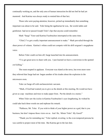continually working on, and the only area of human interaction he did not feel he had yet mastered. And Katrina was always ready to remind him of that fact.

Those who were paying attention, however, picked up immediately that something important was about to be said. Toler being the egalitarian he was, the words ladies and gentlemen had never passed Joseph Toler's lips that anyone could remember.

Mark "Sarge" Furer and Katrina Fussbrachen interrupted at the same time.

"Chief, I've got a really important announcement to make." Mark prevailed through the sheer power of volume. Katrina's whine could not compete with his drill sergeant's megaphone voice.

Before Toler could cut him off, Sarge launched into his announcement.

"I've got great news to share with you. I just learned we have a conviction in the spotted owl killing."

The room erupted in applause. Everyone was elated at the news, but even more were they relieved that Sarge had not begun another of his tirades about the explosion in the microwave oven.

Toler cut Sarge off with uncharacteristic sarcasm.

"Mark, if God had wanted you to give us the details at this meeting, He would not have given us copy machines and trees to make paper from. Put the details in a memo."

When Toler saw the icicles in Katrina Fussbrachen's eyes lengthening, he wished he could take back these words too and rephrase his remark.

"Puhleeze, Mr. Toler. If you wish to think of your higher power as a god, that is you business, but don't impose those views on us. And He, Mister Toler! My Gawd!"

"Thank you for reminding me," Toler replied, reverting to the even tempered persona he was careful to project most of the time. But Katrina got in the last shot.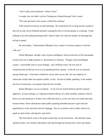"And 'Ladies and Gentlemen', Mister Toler!"

I wonder why she didn't call me Tolerperson, flashed through Toler's mind.

"We must get back to the reason I called this meeting."

Toler insisted on brevity at staff meetings. He would listen for as long anyone wanted to talk one on one, but he disliked intensely wasting the time of several people at a meeting. It had nothing to do with making meetings brief; rather It had to do with the number of meetings they all had to attend.

He said simply, "Administrator Blackpaw has a matter of extreme urgency to discuss with you."

Simon Blackpaw, though a man of great intelligence, had not had most of the advantages of men who rise to high positions in government or business. Though a hard and diligent worker, a personable man in social settings, and a brilliant writer, the one area of communication he did not excel in was speaking before a group. In this he was not unusual among Americans. It has been verified by survey after survey that the vast majority of Americans would rather not speak in public, in fact, the fear of public speaking is the number one fear of Americans, even greater than the fear of death.

Simon Blackpaw was no exception. As he rose his mouth dried up and his stomach tightened. In most settings, as a high government official, he could carefully compose what he had to say and memorize it if there were sufficient time or, at the very least, he could read what he had written. These alternatives made public speaking tolerable because it gave him the opportunity to craft precision into his language. But on occasions such as today when he to speak on short notice, the big fear came back.

This fear had its roots in his grade school days on the reservation. He had had a mean spirited teacher, one of those individuals who slip through the bureaucratic cracks and obtain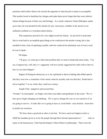positions which allow them to do exactly the opposite of what the job is meant to accomplish. This teacher loved to humiliate her charges and make them never forget that they were inferior human beings because of their race and heritage. As a result, whenever Simon Blackpaw spoke up in class, he was berated by this teacher for any inaccuracy, whether in the answer to an arithmetic problem or a recitation about history.

This experience proved to be a two edged sword for Simon. At one level it motivated him to work hard to accomplish great things so he could prove the teacher wrong, but it also instilled in him a fear of speaking in public when he could not be absolutely sure of every word he was to speak.

He began.

"Uh guys, we sortta got a little uhm problem that we need to kinda talk about today. You see, Congress has, well, they've' suggested, well not exactly suggested but really told us that we have to cut some budgets."

Region XI being the democracy it is, he explained to them in halting uhm-filled speech that they were now a committee of the whole (what he actually said was that they "kinda had to all act together ") to see where they could save money.

Joseph Toler stepped in and rescued him.

"Friends," he interrupted - no longer were there any ladies and gentlemen in the room- "We've have got to begin changing our thinking. We've got to change the way we see ourselves if we are going to survive. It looks like we're going to have to, God forbid - sorry Katrina - learn how to justify our existence.

"We have done a good job at what we do best. We have used our budgets wisely to fulfill the mandate given to us by the people through their elected representatives." Like so many in the bureaucracy, Toler had developed a Them-Them-Us philosophy. There were the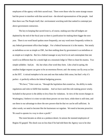employees of the agency with their sacred trust. There were those who for some strange reason had the power to interfere with that sacred trust - the elected representatives of the people. And then there was The People itself, that environment wrecking mob that ranked in contempt just above government contractors.

The key to keeping that sacred trust is, of course, making sure that all budgets are depleted by the end of the fiscal year so there is justification for making them bigger the next year. There is no word heard spoken more frequently, nor any word more frequently written in any federal government office than budget . For a federal bureaucrat it is the mantra. Not nearly as melodious as nor as simple as OM , but then nothing done by government is as melodious or as simple as it might be. But for a federal manager at any level to sit and contemplate that one word is no different than for a monk high on a mountain ledge in Tibet to chant his mantra. Two simple syllables - bud jet. Ah, but what a fine word they form. Like a bud in spring, the smallest budget request can grow to be an enormous flower; and the money can fly away as fast as the SST. A mixed metaphor to be sure and one that makes little sense, but that's why it's perfect - it perfectly reflects the federal budgeting process.

"We have," Toler went on, "through the legislation that created us, the ability to make regulations and rules to fulfill that mandate. And we have used this rule making power wisely. Included in that power is the ability to levy fines for violations. In view of the recent changes in Washington, I believe it is time we take those powers we now have, while there is still time, and use them to our advantage to show the new powers-that-be that we can be self sufficient. In other words, we need to become like the businesses we regulate. We need to become proactive. We need to operate in a way to show a profit."

The room became as silent as a predawn desert. In unison the stunned employees of Region XI gasped. The shock was no less than if he had told them the Agency was to be shut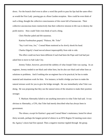down. For the branch chief even to allow a word like profit to pass his lips had the same effect as would the First Lady passing gas at a Rose Garden reception. How could he even think of such a thing, thought the collective consciousness of this room full of bureaucrats. Their collective unconscious knew instinctively that their collective mission in life was to destroy the profit motive. How could Toler even think of such a thing.

Chris Fletcher paled and felt nauseous.

Katrina Fussbrachen gasped, "Puleeze, Mr. Toler"

"Say it ain't true, Joe," Conrad Mann muttered as he slowly shook his head.

Charles Edgerly's head moved almost imperceptibly from side to side.

The effect could not have been different if each had been the Pope and God had just asked him to move to Salt Lake City.

Jeremy Tinker, however, perceived the subtlety of what Joseph Toler was saying. As an engineer, Jeremy tended to see black and white lines, but he also saw black and white lines as solutions to problems. And if nothing else an engineer has to be practical; he has to make material and situations work for him. For instance, to build a bridge you have to make the natural stresses work for you to give the bridge strength. He saw immediately what Toler was doing. He was proposing that they use the natural stress of the situation to make their position stronger.

T. Markum Abernathy failed to see anything innovative in what Toler had said. It was obvious to Abernathy, a CPA, that Toler had merely described what has always been in government.

The silence, except for Katrina's gasp and Conrad Mann's mutterance, lasted for about thirty seconds, perhaps the longest period of silence in an EPA Region XI meeting room since the Agency's doors had first opened. Then a negative murmur rippled through the group.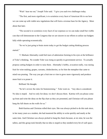"Wait! hear me out," Joseph Toler said. "I give you each two challenges today.

"The first, and more significant, is to scrutinize every facet of American life to see how we can come up with viable new regulations that will form a revenue base for the Agency. More about that later.

"The second is to scrutinize every facet of our expenses so we can make small but visible cuts that will demonstrate to the Congress that we are sincere in our efforts to utilize our budgets fully while operating economically.

"So we're just going to brain storm today to get the budget cutting thinking process started."

T. Markam Abernathy could feel tears of admiration forming in his eyes at the brilliance of Toler's thinking. No wonder Toler was rising so quickly in government service. To actually propose cutting budgets in order to raise them. Abernathy's hobby, avocation really, was raising fruit for wine making, grapes, currants, chokecherries, so for him the metaphor that came to mind was pruning. The way you get a fruit tree or vine to grow more vigorously and produce more fruit is to prune it.

Brilliant! He thought.

"So let's review the rules for brainstorming." Toler went on. "Any idea is considered. No idea is stupid. And we only list ideas; we don't discuss them. Katrina will you please come up front and write the ideas on the flip chart as they are presented, and Christian will you please hang the full sheets on the walls for us."

Both Katrina and Christian rolled their eyes. She was always picked to do this task since, in her many years as a student, she had mastered the ability to write quickly and neatly at the same time. And Christian was always picked to hang the charts because, at six nine, he was the tallest, and this group took literally that no idea is stupid so they needed every bit of wall space.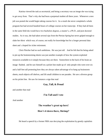Katrina viewed the task as secretarial, and being a secretary was an image she was trying to get away from. That's why she had been a perpetual student all these years. Whenever a new job was posted she would begin taking courses for it. As a result she never completed a whole program but had several hundred hours of college courses on her transcript. If they had all been in the same field she would have two bachelors degrees, a master's, a Ph D., and post doctoral studies. As it was, she had taken several sips from the Pierian Spring but never gulped enough to slake her thirst which was, of course, not really for knowledge but for a longer personal data sheet and a hoped for richer retirement.

Chris Fletcher had no such ambitions. He was just tall. And he felt that his being asked to pin up the brainstorming sheets was just another example of how the system exploited resources available to it simply because they are there. Somewhere in the back of his brain an image flashed, and he saw himself on a picket line made up of only people who were over six and a half feet tall protesting how they are always taken advantage of to hang up brainstorm sheets, reach objects off shelves, and lift small children to see parades. He saw a diverse group on his picket line. He saw for instance a sign that read

#### **Gay, Tall, & Proud**

and another that read

#### **I'm Tall and I vote**

And another

## **The weather's great up here! How's it down there, Shrimp?**

He heard a speech by a former NBA star decrying the exploitation by greedy capitalists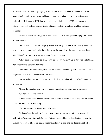of seven footers. And most gratifying of all, he saw many members of People of Lesser Statured Individuals (a group that had been born as the Brotherhood of Short Folks at the University of Michigan in 1967, but who had changed their name in 1989 to eliminate the offensive language of their original title) walking in solidarity with their height advantaged comrades.

"Mister Fletcher, are you going to help us out? " Toler said gently bringing Chris back from his reverie.

Chris wanted to shout back angrily that he was not going to be exploited any more, that he was just a victim of his heightedness, but being the team player he was, he shrugged and said, "Sure." He would save his indignation for bigger issues.

"Okay people, Let's just get at it. How can we save money? Let's start with little things. Remember we're just brainstorming."

"How about if we eliminate, or at least cut back on the monthly cash incentive awards to employees," came from the left side of the room.

Katrina had written only the word cut on the flip chart when a loud "BOOO" went up from the group.

"That's the stupidest idea I've ever heard," came from the other side of the room.

"Go home!" shouted another.

"Obviously he never wins an award", Sam Nunder in the front row whispered out of the side of his mouth to Jill Trocksley.

"Just put it down," Joseph instructed Katrina.

Six hours later the walls of the meeting room were covered with flip chart pages filled with Katrina's neat printing, and Christian Fletcher stood holding the last sheet up because they had run out of tape. The ideas ranged from more closely monitoring the dispensing of office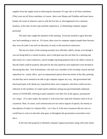supplies from the supply room to enforcing the maximum 10 copy rule at all Xerox machines, (They were not all Xerox machines, of course; there were Sharps and Toshibas and lesser know brands, the result of whoever came in with the low bid, or who happened to be a minority business, at the time of each copy machine expansion.), to eliminating computer support personnel.

The latter idea caught the attention of the meeting. Everyone seemed to agree that they now had something to work on. Of course, there were no computer support people there because they were all, (dare I use such an obscenity so early on the narrative) contractors.

The last two hours of the meeting (actually now officially called a retreat, even though it was not being held in a remote location, since it had gone past the one hour for a meeting and three hours for a mini-conference, and for budget reporting purposes had to be called a retreat so that the funds could be properly allocated for the time spend by each employee) were devoted to discussing this idea. Oral Schurmeister, who also was a member of his township council and had aspirations for county office, gave an impassioned speech about the merits of the idea, pointing out that they never seemed to be able to get computer support any way, that government had functioned quite well, thank you, long before there were computers, that there could even be a reduction in the incidence of carpel tunnel syndrome among non-governmentally employed retirees (CTSANGER, referring to paid volunteers over fifty-five in the agency, pronounced cat's anger (Yes, dear reader, the narrator is well aware that paid and volunteer seem to be an oxymoron. Here, of course, such constructions are not used as figures of speech, but merely as descriptions of reality in a federal office. Let's face it; if the term oxymoron did not exist we would have to coin it to describe what goes on throughout the government everywhere every day.) .

In the end, that proposal to eliminate computer support personnel, along with some minor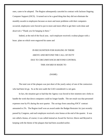ones, came to be adopted. The Region subsequently canceled its contract with Jackson Ongoing Computer Support (JOCS). It turned out to be a good thing that they did not eliminate the monthly awards to employees because as more and more problems with their computers occurred, employees were forced to put in more and more effort to get their work done and deserved a "Thank you for hanging in there."

Indeed, at the end of the fiscal year, each employee received a walnut plaque with a brass plate on which were engraved his name and

## IN RECOGNITION FOR HANGING IN THERE ABOVE AND BEYOND THE CALL OF DUTY DUE TO CIRCUMSTANCES BEYOND CONTROL THIS AWARD IS MADE TO

#### (NAME)

The total cost of the plaques was just short of the yearly salary of one of the contractors who had been let go. So at the next audit the GAO considered it a net gain.

In fact, the situation got so bad that the Agency was forced to hire nineteen new clerks to handle the work that down computers could no longer handle. The net result was that personnel expenses rose by 8% during the next quarter. The savings from canceling JOCS' contract amounted to 2%. The Region itself won an award under the Budget Restraint Act just recently passed by Congress, and each employee received a nice bonus at the end of the quarter. It was not called a bonus, of course; it was called instead an Award for Service Above and Beyond in keeping with the theme of the plaques that had been awarded earlier.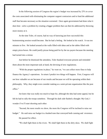In the following session of Congress the region's budget was increased by 25% to cover the costs associated with eliminating the computer support contractors and to fund the additional staff that became necessary as the situation worsened. Once again government had done what it does best - solve a problem by creating a bigger problem that can then be addressed by throwing more money at it.

At the time Toler, of course, had no way of knowing just how successful this brainstorming session would become. But he had a feeling. He looked at his watch. It was ten minutes to five. He looked around at the walls filled with ideas and at the tables filled with empty pizza boxes. He could justify pizzas being paid for by the tax payers because the meeting had turned into a retreat.

Just before he dismissed the attendees, Toler thanked everyone present and reminded them about the most important task at hand, the devising of new regulations.

"With the proper regulations in place," he went on, "we can collect more fines to help finance the Agency's operations. In return I predict two things will happen. First, Congress will see how valuable we are because of our results and because we will be operating within their philosophy. Why, they might even consider making us a semi-private organization like the post office."

Joe knew that was really too much to hope for, although the idea had some appeal, but he felt he had to rally the troops somehow. Through his dark side flashed a thought: My God, I wonder if we'll start shooting each other.

"Second, the more results we show, the more the Congress will be inclined to raise our budget." He said raise our budget in a hushed tone that conveyed both cunning and reverence. He paused for effect.

"We shall fight them in the rivers. We shall fight them in the dirty skies. We shall fight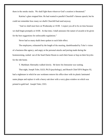them in the smoke stacks. We shall fight them wherever God's creation is threatened."

Katrina's glare stopped him. He had wanted to parallel Churchill's famous speech, but he could not remember how many we *shalls* Churchill had used anyway.

"And we shall meet here on Wednesday at 10:00. I expect you all to be on time because we shall begin promptly at 10:00. At that time, I shall announce the nature of awards to be given for the best suggestions for enforceable regulations."

Never had so many shalls been spoken to such little effect.

The employees, exhausted by the length of the meeting, dumbfounded by Toler's vision of a business-like agency, and angry at the personal attacks and jeering made during the brainstorming, rushed out of the Snail Darter Room to catch their buses or hop on their bicycles for the ride home.

T. Markham Abernathy walked slowly. He knew his limousine was waiting.

That night, Joseph Toler, Ed.D, Ph.D (psychology), and Branch Chief EPA Region XI, had a nightmare in which he saw workmen remove his office door with its plastic laminated name plaque and replace it with a heavy oak door with a wavy glass window on which was printed in gold leaf: Joseph Toler, CEO.